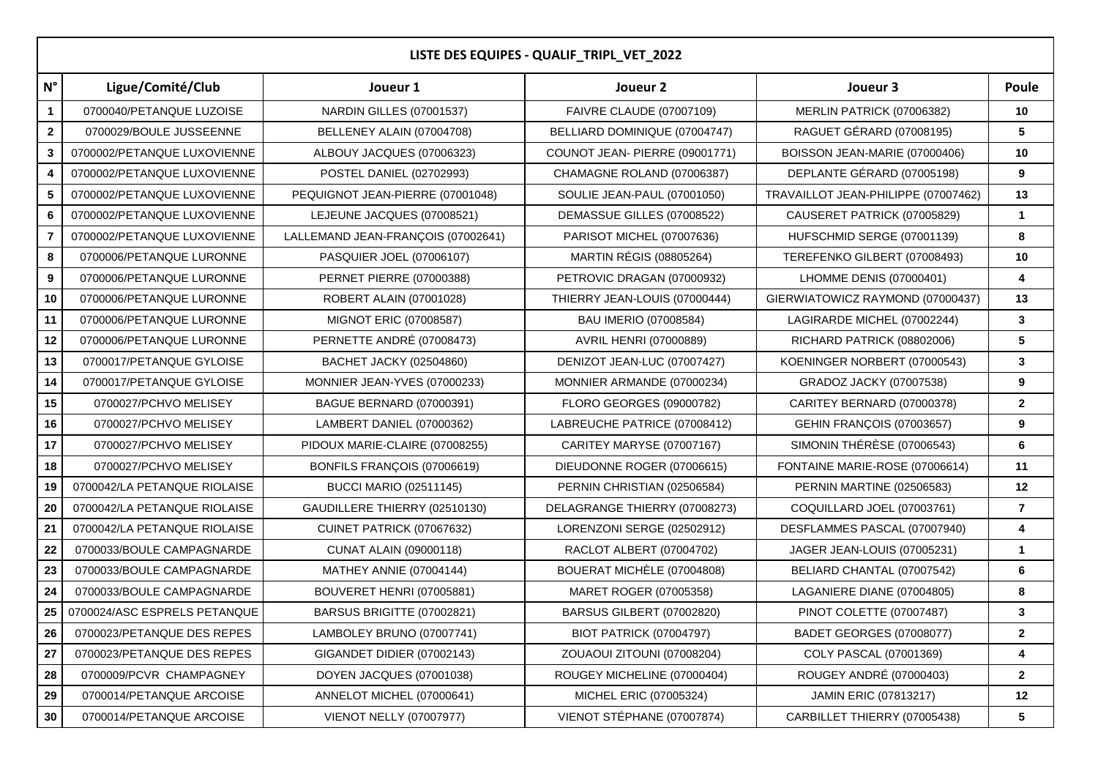| LISTE DES EQUIPES - QUALIF_TRIPL_VET_2022 |                              |                                    |                                 |                                     |                         |  |  |  |
|-------------------------------------------|------------------------------|------------------------------------|---------------------------------|-------------------------------------|-------------------------|--|--|--|
| $N^{\circ}$                               | Ligue/Comité/Club            | Joueur 1                           | Joueur 2                        | Joueur 3                            | Poule                   |  |  |  |
| $\mathbf{1}$                              | 0700040/PETANQUE LUZOISE     | <b>NARDIN GILLES (07001537)</b>    | <b>FAIVRE CLAUDE (07007109)</b> | MERLIN PATRICK (07006382)           | 10                      |  |  |  |
| $\mathbf 2$                               | 0700029/BOULE JUSSEENNE      | BELLENEY ALAIN (07004708)          | BELLIARD DOMINIQUE (07004747)   | RAGUET GÉRARD (07008195)            | 5                       |  |  |  |
| 3                                         | 0700002/PETANQUE LUXOVIENNE  | ALBOUY JACQUES (07006323)          | COUNOT JEAN- PIERRE (09001771)  | BOISSON JEAN-MARIE (07000406)       | 10                      |  |  |  |
| 4                                         | 0700002/PETANQUE LUXOVIENNE  | POSTEL DANIEL (02702993)           | CHAMAGNE ROLAND (07006387)      | DEPLANTE GÉRARD (07005198)          | 9                       |  |  |  |
| 5                                         | 0700002/PETANQUE LUXOVIENNE  | PEQUIGNOT JEAN-PIERRE (07001048)   | SOULIE JEAN-PAUL (07001050)     | TRAVAILLOT JEAN-PHILIPPE (07007462) | 13                      |  |  |  |
| 6                                         | 0700002/PETANQUE LUXOVIENNE  | LEJEUNE JACQUES (07008521)         | DEMASSUE GILLES (07008522)      | CAUSERET PATRICK (07005829)         | $\mathbf{1}$            |  |  |  |
| $\overline{7}$                            | 0700002/PETANQUE LUXOVIENNE  | LALLEMAND JEAN-FRANÇOIS (07002641) | PARISOT MICHEL (07007636)       | HUFSCHMID SERGE (07001139)          | 8                       |  |  |  |
| $\bf8$                                    | 0700006/PETANQUE LURONNE     | PASQUIER JOEL (07006107)           | <b>MARTIN RÉGIS (08805264)</b>  | TEREFENKO GILBERT (07008493)        | 10                      |  |  |  |
| $\boldsymbol{9}$                          | 0700006/PETANQUE LURONNE     | <b>PERNET PIERRE (07000388)</b>    | PETROVIC DRAGAN (07000932)      | LHOMME DENIS (07000401)             | 4                       |  |  |  |
| 10                                        | 0700006/PETANQUE LURONNE     | ROBERT ALAIN (07001028)            | THIERRY JEAN-LOUIS (07000444)   | GIERWIATOWICZ RAYMOND (07000437)    | 13                      |  |  |  |
| 11                                        | 0700006/PETANQUE LURONNE     | MIGNOT ERIC (07008587)             | BAU IMERIO (07008584)           | LAGIRARDE MICHEL (07002244)         | $\mathbf{3}$            |  |  |  |
| 12                                        | 0700006/PETANQUE LURONNE     | PERNETTE ANDRÉ (07008473)          | AVRIL HENRI (07000889)          | RICHARD PATRICK (08802006)          | $\sqrt{5}$              |  |  |  |
| 13                                        | 0700017/PETANQUE GYLOISE     | BACHET JACKY (02504860)            | DENIZOT JEAN-LUC (07007427)     | KOENINGER NORBERT (07000543)        | 3                       |  |  |  |
| 14                                        | 0700017/PETANQUE GYLOISE     | MONNIER JEAN-YVES (07000233)       | MONNIER ARMANDE (07000234)      | GRADOZ JACKY (07007538)             | 9                       |  |  |  |
| 15                                        | 0700027/PCHVO MELISEY        | <b>BAGUE BERNARD (07000391)</b>    | FLORO GEORGES (09000782)        | CARITEY BERNARD (07000378)          | $\overline{2}$          |  |  |  |
| 16                                        | 0700027/PCHVO MELISEY        | LAMBERT DANIEL (07000362)          | LABREUCHE PATRICE (07008412)    | <b>GEHIN FRANÇOIS (07003657)</b>    | 9                       |  |  |  |
| 17                                        | 0700027/PCHVO MELISEY        | PIDOUX MARIE-CLAIRE (07008255)     | CARITEY MARYSE (07007167)       | SIMONIN THÉRÈSE (07006543)          | 6                       |  |  |  |
| 18                                        | 0700027/PCHVO MELISEY        | BONFILS FRANÇOIS (07006619)        | DIEUDONNE ROGER (07006615)      | FONTAINE MARIE-ROSE (07006614)      | 11                      |  |  |  |
| 19                                        | 0700042/LA PETANQUE RIOLAISE | <b>BUCCI MARIO (02511145)</b>      | PERNIN CHRISTIAN (02506584)     | PERNIN MARTINE (02506583)           | 12                      |  |  |  |
| 20                                        | 0700042/LA PETANQUE RIOLAISE | GAUDILLERE THIERRY (02510130)      | DELAGRANGE THIERRY (07008273)   | COQUILLARD JOEL (07003761)          | $\overline{\mathbf{r}}$ |  |  |  |
| 21                                        | 0700042/LA PETANQUE RIOLAISE | CUINET PATRICK (07067632)          | LORENZONI SERGE (02502912)      | DESFLAMMES PASCAL (07007940)        | 4                       |  |  |  |
| 22                                        | 0700033/BOULE CAMPAGNARDE    | <b>CUNAT ALAIN (09000118)</b>      | RACLOT ALBERT (07004702)        | JAGER JEAN-LOUIS (07005231)         | $\mathbf{1}$            |  |  |  |
| 23                                        | 0700033/BOULE CAMPAGNARDE    | MATHEY ANNIE (07004144)            | BOUERAT MICHÈLE (07004808)      | BELIARD CHANTAL (07007542)          | 6                       |  |  |  |
| 24                                        | 0700033/BOULE CAMPAGNARDE    | BOUVERET HENRI (07005881)          | MARET ROGER (07005358)          | LAGANIERE DIANE (07004805)          | 8                       |  |  |  |
| 25                                        | 0700024/ASC ESPRELS PETANQUE | BARSUS BRIGITTE (07002821)         | BARSUS GILBERT (07002820)       | PINOT COLETTE (07007487)            | 3                       |  |  |  |
| 26                                        | 0700023/PETANQUE DES REPES   | LAMBOLEY BRUNO (07007741)          | <b>BIOT PATRICK (07004797)</b>  | BADET GEORGES (07008077)            | $\mathbf{2}$            |  |  |  |
| 27                                        | 0700023/PETANQUE DES REPES   | GIGANDET DIDIER (07002143)         | ZOUAOUI ZITOUNI (07008204)      | COLY PASCAL (07001369)              | 4                       |  |  |  |
| ${\bf 28}$                                | 0700009/PCVR CHAMPAGNEY      | DOYEN JACQUES (07001038)           | ROUGEY MICHELINE (07000404)     | ROUGEY ANDRÉ (07000403)             | $\mathbf{2}$            |  |  |  |
| 29                                        | 0700014/PETANQUE ARCOISE     | ANNELOT MICHEL (07000641)          | MICHEL ERIC (07005324)          | JAMIN ERIC (07813217)               | 12                      |  |  |  |
| 30                                        | 0700014/PETANQUE ARCOISE     | <b>VIENOT NELLY (07007977)</b>     | VIENOT STÉPHANE (07007874)      | CARBILLET THIERRY (07005438)        | $\overline{\mathbf{5}}$ |  |  |  |